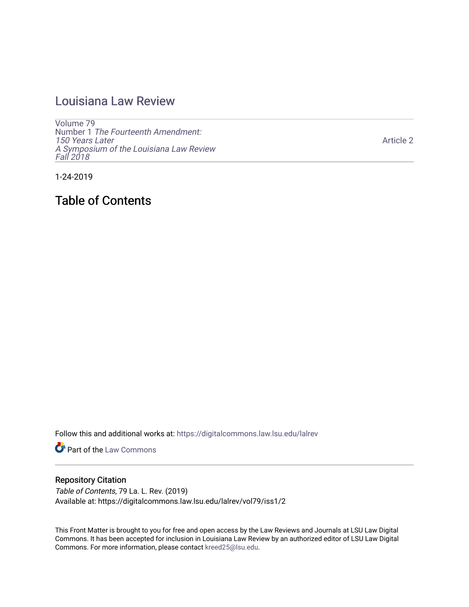## [Louisiana Law Review](https://digitalcommons.law.lsu.edu/lalrev)

[Volume 79](https://digitalcommons.law.lsu.edu/lalrev/vol79) Number 1 [The Fourteenth Amendment:](https://digitalcommons.law.lsu.edu/lalrev/vol79/iss1)  [150 Years Later](https://digitalcommons.law.lsu.edu/lalrev/vol79/iss1) [A Symposium of the Louisiana Law Review](https://digitalcommons.law.lsu.edu/lalrev/vol79/iss1) [Fall 2018](https://digitalcommons.law.lsu.edu/lalrev/vol79/iss1) 

[Article 2](https://digitalcommons.law.lsu.edu/lalrev/vol79/iss1/2) 

1-24-2019

Table of Contents

Follow this and additional works at: [https://digitalcommons.law.lsu.edu/lalrev](https://digitalcommons.law.lsu.edu/lalrev?utm_source=digitalcommons.law.lsu.edu%2Flalrev%2Fvol79%2Fiss1%2F2&utm_medium=PDF&utm_campaign=PDFCoverPages)

**Part of the [Law Commons](http://network.bepress.com/hgg/discipline/578?utm_source=digitalcommons.law.lsu.edu%2Flalrev%2Fvol79%2Fiss1%2F2&utm_medium=PDF&utm_campaign=PDFCoverPages)** 

### Repository Citation

Table of Contents, 79 La. L. Rev. (2019) Available at: https://digitalcommons.law.lsu.edu/lalrev/vol79/iss1/2

This Front Matter is brought to you for free and open access by the Law Reviews and Journals at LSU Law Digital Commons. It has been accepted for inclusion in Louisiana Law Review by an authorized editor of LSU Law Digital Commons. For more information, please contact [kreed25@lsu.edu](mailto:kreed25@lsu.edu).